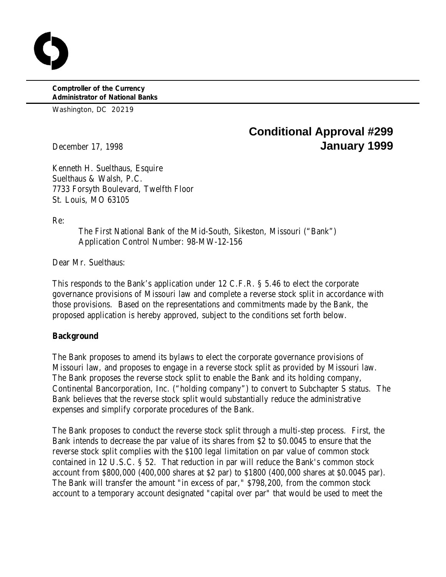**Comptroller of the Currency Administrator of National Banks**

Washington, DC 20219

# **Conditional Approval #299** December 17, 1998 **January 1999**

Kenneth H. Suelthaus, Esquire Suelthaus & Walsh, P.C. 7733 Forsyth Boulevard, Twelfth Floor St. Louis, MO 63105

Re:

The First National Bank of the Mid-South, Sikeston, Missouri ("Bank") Application Control Number: 98-MW-12-156

Dear Mr. Suelthaus:

This responds to the Bank's application under 12 C.F.R. § 5.46 to elect the corporate governance provisions of Missouri law and complete a reverse stock split in accordance with those provisions. Based on the representations and commitments made by the Bank, the proposed application is hereby approved, subject to the conditions set forth below.

## **Background**

The Bank proposes to amend its bylaws to elect the corporate governance provisions of Missouri law, and proposes to engage in a reverse stock split as provided by Missouri law. The Bank proposes the reverse stock split to enable the Bank and its holding company, Continental Bancorporation, Inc. ("holding company") to convert to Subchapter S status. The Bank believes that the reverse stock split would substantially reduce the administrative expenses and simplify corporate procedures of the Bank.

The Bank proposes to conduct the reverse stock split through a multi-step process. First, the Bank intends to decrease the par value of its shares from \$2 to \$0.0045 to ensure that the reverse stock split complies with the \$100 legal limitation on par value of common stock contained in 12 U.S.C. § 52. That reduction in par will reduce the Bank's common stock account from \$800,000 (400,000 shares at \$2 par) to \$1800 (400,000 shares at \$0.0045 par). The Bank will transfer the amount "in excess of par," \$798,200, from the common stock account to a temporary account designated "capital over par" that would be used to meet the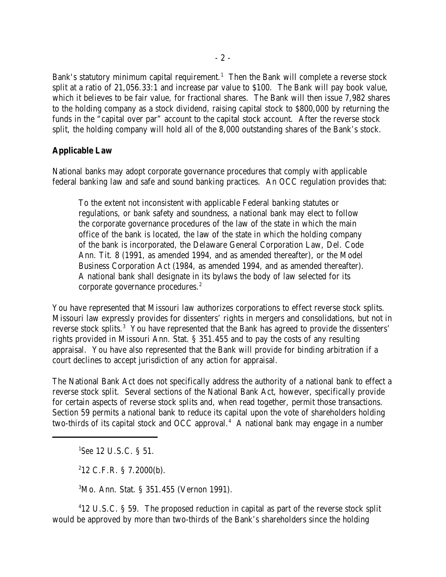Bank's statutory minimum capital requirement.<sup>1</sup> Then the Bank will complete a reverse stock split at a ratio of 21,056.33:1 and increase par value to \$100. The Bank will pay book value, which it believes to be fair value, for fractional shares. The Bank will then issue 7,982 shares to the holding company as a stock dividend, raising capital stock to \$800,000 by returning the funds in the "capital over par" account to the capital stock account. After the reverse stock split, the holding company will hold all of the 8,000 outstanding shares of the Bank's stock.

### **Applicable Law**

National banks may adopt corporate governance procedures that comply with applicable federal banking law and safe and sound banking practices. An OCC regulation provides that:

To the extent not inconsistent with applicable Federal banking statutes or regulations, or bank safety and soundness, a national bank may elect to follow the corporate governance procedures of the law of the state in which the main office of the bank is located, the law of the state in which the holding company of the bank is incorporated, the Delaware General Corporation Law, Del. Code Ann. Tit. 8 (1991, as amended 1994, and as amended thereafter), or the Model Business Corporation Act (1984, as amended 1994, and as amended thereafter). A national bank shall designate in its bylaws the body of law selected for its corporate governance procedures.<sup>2</sup>

You have represented that Missouri law authorizes corporations to effect reverse stock splits. Missouri law expressly provides for dissenters' rights in mergers and consolidations, but not in reverse stock splits.<sup>3</sup> You have represented that the Bank has agreed to provide the dissenters' rights provided in Missouri Ann. Stat. § 351.455 and to pay the costs of any resulting appraisal. You have also represented that the Bank will provide for binding arbitration if a court declines to accept jurisdiction of any action for appraisal.

The National Bank Act does not specifically address the authority of a national bank to effect a reverse stock split. Several sections of the National Bank Act, however, specifically provide for certain aspects of reverse stock splits and, when read together, permit those transactions. Section 59 permits a national bank to reduce its capital upon the vote of shareholders holding two-thirds of its capital stock and OCC approval. $4\hat{ }$  A national bank may engage in a number

<sup>1</sup>See 12 U.S.C. § 51.

 $212$  C.F.R. § 7.2000(b).

 ${}^{3}$ Mo. Ann. Stat. § 351.455 (Vernon 1991).

<sup>4</sup>12 U.S.C. § 59. The proposed reduction in capital as part of the reverse stock split would be approved by more than two-thirds of the Bank's shareholders since the holding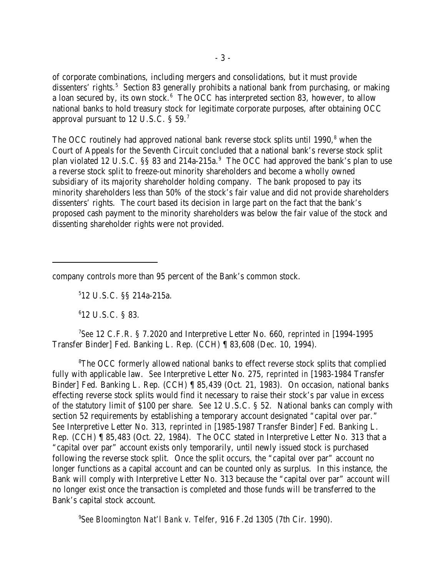of corporate combinations, including mergers and consolidations, but it must provide dissenters' rights.<sup>5</sup> Section 83 generally prohibits a national bank from purchasing, or making a loan secured by, its own stock. $6$  The OCC has interpreted section 83, however, to allow national banks to hold treasury stock for legitimate corporate purposes, after obtaining OCC approval pursuant to 12 U.S.C. § 59.<sup>7</sup>

The OCC routinely had approved national bank reverse stock splits until 1990,<sup>8</sup> when the Court of Appeals for the Seventh Circuit concluded that a national bank's reverse stock split plan violated 12 U.S.C. §§ 83 and 214a-215a.<sup>9</sup> The OCC had approved the bank's plan to use a reverse stock split to freeze-out minority shareholders and become a wholly owned subsidiary of its majority shareholder holding company. The bank proposed to pay its minority shareholders less than 50% of the stock's fair value and did not provide shareholders dissenters' rights. The court based its decision in large part on the fact that the bank's proposed cash payment to the minority shareholders was below the fair value of the stock and dissenting shareholder rights were not provided.

company controls more than 95 percent of the Bank's common stock.

 $512$  U.S.C.  $\S$ § 214a-215a.

 $612$  U.S.C. § 83.

*See* 12 C.F.R. § 7.2020 and Interpretive Letter No. 660, *reprinted in* [1994-1995 <sup>7</sup> Transfer Binder] Fed. Banking L. Rep. (CCH) ¶ 83,608 (Dec. 10, 1994).

<sup>8</sup>The OCC formerly allowed national banks to effect reverse stock splits that complied fully with applicable law. *See* Interpretive Letter No. 275, *reprinted in* [1983-1984 Transfer Binder] Fed. Banking L. Rep. (CCH) ¶ 85,439 (Oct. 21, 1983). On occasion, national banks effecting reverse stock splits would find it necessary to raise their stock's par value in excess of the statutory limit of \$100 per share. *See* 12 U.S.C. § 52. National banks can comply with section 52 requirements by establishing a temporary account designated "capital over par." *See* Interpretive Letter No. 313, *reprinted in* [1985-1987 Transfer Binder] Fed. Banking L. Rep. (CCH) ¶ 85,483 (Oct. 22, 1984). The OCC stated in Interpretive Letter No. 313 that a "capital over par" account exists only temporarily, until newly issued stock is purchased following the reverse stock split. Once the split occurs, the "capital over par" account no longer functions as a capital account and can be counted only as surplus. In this instance, the Bank will comply with Interpretive Letter No. 313 because the "capital over par" account will no longer exist once the transaction is completed and those funds will be transferred to the Bank's capital stock account.

<sup>9</sup>See Bloomington Nat'l Bank v. Telfer, 916 F.2d 1305 (7th Cir. 1990).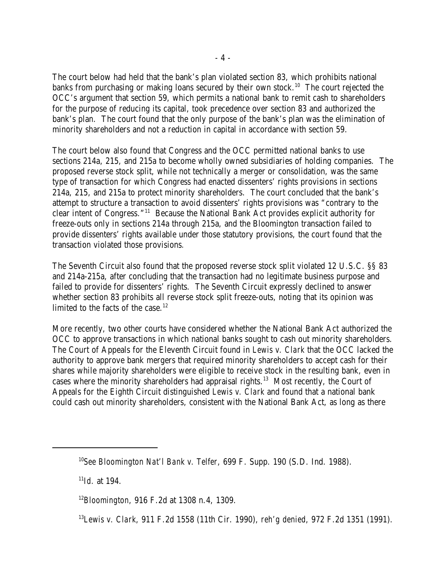The court below had held that the bank's plan violated section 83, which prohibits national banks from purchasing or making loans secured by their own stock.<sup>10</sup> The court rejected the OCC's argument that section 59, which permits a national bank to remit cash to shareholders for the purpose of reducing its capital, took precedence over section 83 and authorized the bank's plan. The court found that the only purpose of the bank's plan was the elimination of minority shareholders and not a reduction in capital in accordance with section 59.

The court below also found that Congress and the OCC permitted national banks to use sections 214a, 215, and 215a to become wholly owned subsidiaries of holding companies. The proposed reverse stock split, while not technically a merger or consolidation, was the same type of transaction for which Congress had enacted dissenters' rights provisions in sections 214a, 215, and 215a to protect minority shareholders. The court concluded that the bank's attempt to structure a transaction to avoid dissenters' rights provisions was "contrary to the clear intent of Congress."<sup>11</sup> Because the National Bank Act provides explicit authority for freeze-outs only in sections 214a through 215a, and the Bloomington transaction failed to provide dissenters' rights available under those statutory provisions, the court found that the transaction violated those provisions*.*

The Seventh Circuit also found that the proposed reverse stock split violated 12 U.S.C. §§ 83 and 214a-215a, after concluding that the transaction had no legitimate business purpose and failed to provide for dissenters' rights. The Seventh Circuit expressly declined to answer whether section 83 prohibits all reverse stock split freeze-outs, noting that its opinion was limited to the facts of the case.<sup>12</sup>

More recently, two other courts have considered whether the National Bank Act authorized the OCC to approve transactions in which national banks sought to cash out minority shareholders. The Court of Appeals for the Eleventh Circuit found in *Lewis v. Clark* that the OCC lacked the authority to approve bank mergers that required minority shareholders to accept cash for their shares while majority shareholders were eligible to receive stock in the resulting bank, even in cases where the minority shareholders had appraisal rights.<sup>13</sup> Most recently, the Court of Appeals for the Eighth Circuit distinguished *Lewis v. Clark* and found that a national bank could cash out minority shareholders, consistent with the National Bank Act, as long as there

 $^{11}$ *Id.* at 194.

<sup>&</sup>lt;sup>10</sup>See Bloomington Nat'l Bank v. Telfer, 699 F. Supp. 190 (S.D. Ind. 1988).

<sup>&</sup>lt;sup>12</sup> Bloomington, 916 F.2d at 1308 n.4, 1309.

*Lewis v. Clark*, 911 F.2d 1558 (11th Cir. 1990), *reh'g denied*, 972 F.2d 1351 (1991). <sup>13</sup>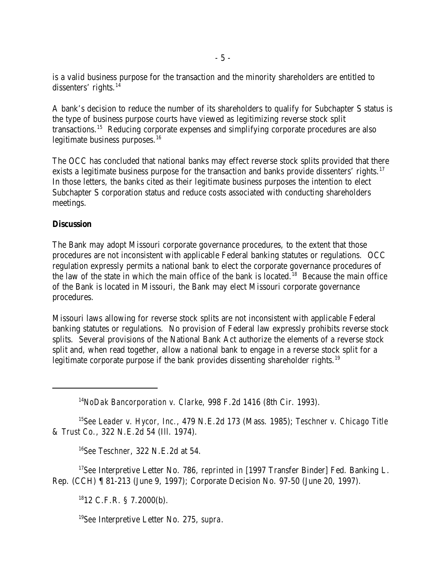is a valid business purpose for the transaction and the minority shareholders are entitled to dissenters' rights. $^{14}$ 

A bank's decision to reduce the number of its shareholders to qualify for Subchapter S status is the type of business purpose courts have viewed as legitimizing reverse stock split transactions.<sup>15</sup> Reducing corporate expenses and simplifying corporate procedures are also legitimate business purposes. $16$ 

The OCC has concluded that national banks may effect reverse stock splits provided that there exists a legitimate business purpose for the transaction and banks provide dissenters' rights.<sup>17</sup> In those letters, the banks cited as their legitimate business purposes the intention to elect Subchapter S corporation status and reduce costs associated with conducting shareholders meetings.

### **Discussion**

The Bank may adopt Missouri corporate governance procedures, to the extent that those procedures are not inconsistent with applicable Federal banking statutes or regulations. OCC regulation expressly permits a national bank to elect the corporate governance procedures of the law of the state in which the main office of the bank is located.<sup>18</sup> Because the main office of the Bank is located in Missouri, the Bank may elect Missouri corporate governance procedures.

Missouri laws allowing for reverse stock splits are not inconsistent with applicable Federal banking statutes or regulations. No provision of Federal law expressly prohibits reverse stock splits. Several provisions of the National Bank Act authorize the elements of a reverse stock split and, when read together, allow a national bank to engage in a reverse stock split for a legitimate corporate purpose if the bank provides dissenting shareholder rights.<sup>19</sup>

<sup>14</sup> NoDak Bancorporation v. Clarke, 998 F.2d 1416 (8th Cir. 1993).

<sup>15</sup> See Leader v. Hycor, Inc., 479 N.E. 2d 173 (Mass. 1985); Teschner v. Chicago Title *& Trust Co.*, 322 N.E.2d 54 (Ill. 1974).

<sup>16</sup>See *Teschner*, 322 N.E.2d at 54.

<sup>17</sup>See Interpretive Letter No. 786, *reprinted in* [1997 Transfer Binder] Fed. Banking L. Rep. (CCH) ¶ 81-213 (June 9, 1997); Corporate Decision No. 97-50 (June 20, 1997).

 $1812$  C.F.R. § 7.2000(b).

*See* Interpretive Letter No. 275, *supra*. 19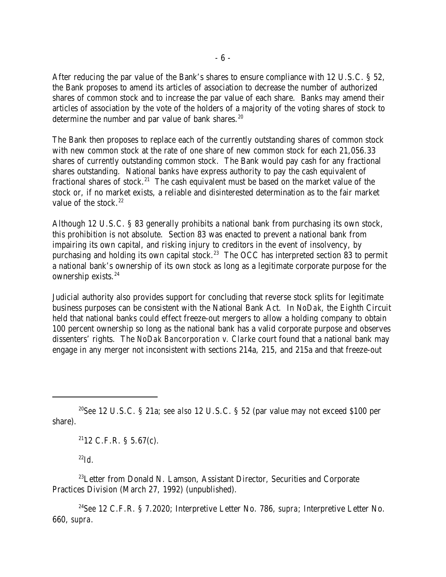After reducing the par value of the Bank's shares to ensure compliance with 12 U.S.C. § 52, the Bank proposes to amend its articles of association to decrease the number of authorized shares of common stock and to increase the par value of each share. Banks may amend their articles of association by the vote of the holders of a majority of the voting shares of stock to determine the number and par value of bank shares. $20$ 

The Bank then proposes to replace each of the currently outstanding shares of common stock with new common stock at the rate of one share of new common stock for each 21,056.33 shares of currently outstanding common stock. The Bank would pay cash for any fractional shares outstanding. National banks have express authority to pay the cash equivalent of fractional shares of stock.<sup>21</sup> The cash equivalent must be based on the market value of the stock or, if no market exists, a reliable and disinterested determination as to the fair market value of the stock. $22$ 

Although 12 U.S.C. § 83 generally prohibits a national bank from purchasing its own stock, this prohibition is not absolute. Section 83 was enacted to prevent a national bank from impairing its own capital, and risking injury to creditors in the event of insolvency, by purchasing and holding its own capital stock.<sup>23</sup> The OCC has interpreted section 83 to permit a national bank's ownership of its own stock as long as a legitimate corporate purpose for the ownership exists.<sup>24</sup>

Judicial authority also provides support for concluding that reverse stock splits for legitimate business purposes can be consistent with the National Bank Act. In *NoDak*, the Eighth Circuit held that national banks could effect freeze-out mergers to allow a holding company to obtain 100 percent ownership so long as the national bank has a valid corporate purpose and observes dissenters' rights. The *NoDak Bancorporation v. Clarke* court found that a national bank may engage in any merger not inconsistent with sections 214a, 215, and 215a and that freeze-out

 $2112$  C.F.R. § 5.67(c).

 $^{22}Id$ 

 $^{23}$ Letter from Donald N. Lamson, Assistant Director, Securities and Corporate Practices Division (March 27, 1992) (unpublished).

<sup>24</sup> See 12 C.F.R. § 7.2020; Interpretive Letter No. 786, *supra*; Interpretive Letter No. 660, *supra*.

<sup>&</sup>lt;sup>20</sup>See 12 U.S.C. § 21a; *see also* 12 U.S.C. § 52 (par value may not exceed \$100 per share).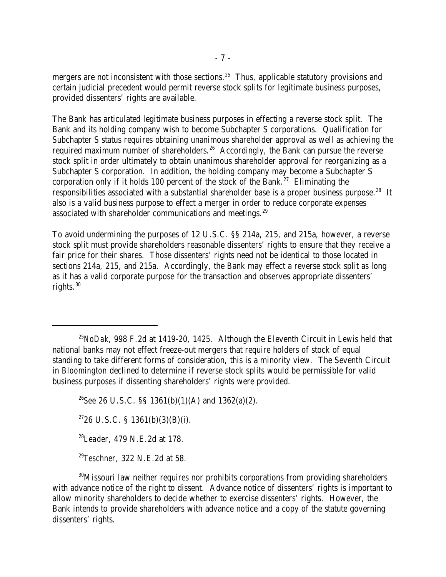mergers are not inconsistent with those sections.<sup>25</sup> Thus, applicable statutory provisions and certain judicial precedent would permit reverse stock splits for legitimate business purposes, provided dissenters' rights are available.

The Bank has articulated legitimate business purposes in effecting a reverse stock split. The Bank and its holding company wish to become Subchapter S corporations. Qualification for Subchapter S status requires obtaining unanimous shareholder approval as well as achieving the required maximum number of shareholders.<sup>26</sup> Accordingly, the Bank can pursue the reverse stock split in order ultimately to obtain unanimous shareholder approval for reorganizing as a Subchapter S corporation. In addition, the holding company may become a Subchapter S corporation only if it holds 100 percent of the stock of the Bank.<sup>27</sup> Eliminating the responsibilities associated with a substantial shareholder base is a proper business purpose.<sup>28</sup> It also is a valid business purpose to effect a merger in order to reduce corporate expenses associated with shareholder communications and meetings.<sup>29</sup>

To avoid undermining the purposes of 12 U.S.C. §§ 214a, 215, and 215a, however, a reverse stock split must provide shareholders reasonable dissenters' rights to ensure that they receive a fair price for their shares. Those dissenters' rights need not be identical to those located in sections 214a, 215, and 215a. Accordingly, the Bank may effect a reverse stock split as long as it has a valid corporate purpose for the transaction and observes appropriate dissenters' rights. $30$ 

<sup>26</sup>See 26 U.S.C. §§ 1361(b)(1)(A) and 1362(a)(2).

 $2726$  U.S.C. § 1361(b)(3)(B)(i).

<sup>28</sup>Leader, 479 N.E.2d at 178.

<sup>29</sup>Teschner, 322 N.E.2d at 58.

 $30$ Missouri law neither requires nor prohibits corporations from providing shareholders with advance notice of the right to dissent. Advance notice of dissenters' rights is important to allow minority shareholders to decide whether to exercise dissenters' rights. However, the Bank intends to provide shareholders with advance notice and a copy of the statute governing dissenters' rights.

<sup>&</sup>lt;sup>25</sup>NoDak, 998 F.2d at 1419-20, 1425. Although the Eleventh Circuit in Lewis held that national banks may not effect freeze-out mergers that require holders of stock of equal standing to take different forms of consideration, this is a minority view. The Seventh Circuit in *Bloomington* declined to determine if reverse stock splits would be permissible for valid business purposes if dissenting shareholders' rights were provided.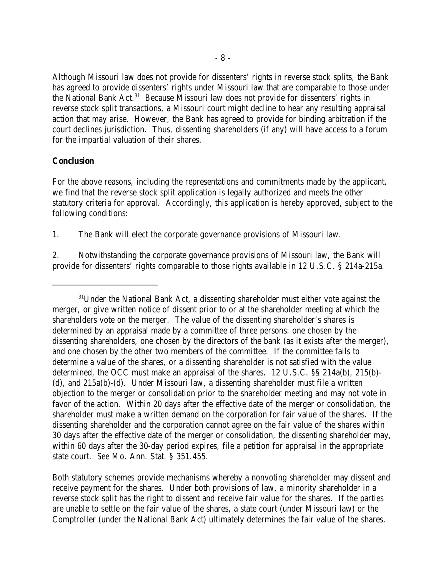Although Missouri law does not provide for dissenters' rights in reverse stock splits, the Bank has agreed to provide dissenters' rights under Missouri law that are comparable to those under the National Bank Act.<sup>31</sup> Because Missouri law does not provide for dissenters' rights in reverse stock split transactions, a Missouri court might decline to hear any resulting appraisal action that may arise. However, the Bank has agreed to provide for binding arbitration if the court declines jurisdiction. Thus, dissenting shareholders (if any) will have access to a forum for the impartial valuation of their shares.

### **Conclusion**

For the above reasons, including the representations and commitments made by the applicant, we find that the reverse stock split application is legally authorized and meets the other statutory criteria for approval. Accordingly, this application is hereby approved, subject to the following conditions:

1. The Bank will elect the corporate governance provisions of Missouri law.

2. Notwithstanding the corporate governance provisions of Missouri law, the Bank will provide for dissenters' rights comparable to those rights available in 12 U.S.C. § 214a-215a.

Both statutory schemes provide mechanisms whereby a nonvoting shareholder may dissent and receive payment for the shares. Under both provisions of law, a minority shareholder in a reverse stock split has the right to dissent and receive fair value for the shares. If the parties are unable to settle on the fair value of the shares, a state court (under Missouri law) or the Comptroller (under the National Bank Act) ultimately determines the fair value of the shares.

 $31$ Under the National Bank Act, a dissenting shareholder must either vote against the merger, or give written notice of dissent prior to or at the shareholder meeting at which the shareholders vote on the merger. The value of the dissenting shareholder's shares is determined by an appraisal made by a committee of three persons: one chosen by the dissenting shareholders, one chosen by the directors of the bank (as it exists after the merger), and one chosen by the other two members of the committee. If the committee fails to determine a value of the shares, or a dissenting shareholder is not satisfied with the value determined, the OCC must make an appraisal of the shares. 12 U.S.C. §§ 214a(b), 215(b)- (d), and 215a(b)-(d). Under Missouri law, a dissenting shareholder must file a written objection to the merger or consolidation prior to the shareholder meeting and may not vote in favor of the action. Within 20 days after the effective date of the merger or consolidation, the shareholder must make a written demand on the corporation for fair value of the shares. If the dissenting shareholder and the corporation cannot agree on the fair value of the shares within 30 days after the effective date of the merger or consolidation, the dissenting shareholder may, within 60 days after the 30-day period expires, file a petition for appraisal in the appropriate state court. *See* Mo. Ann. Stat. § 351.455.